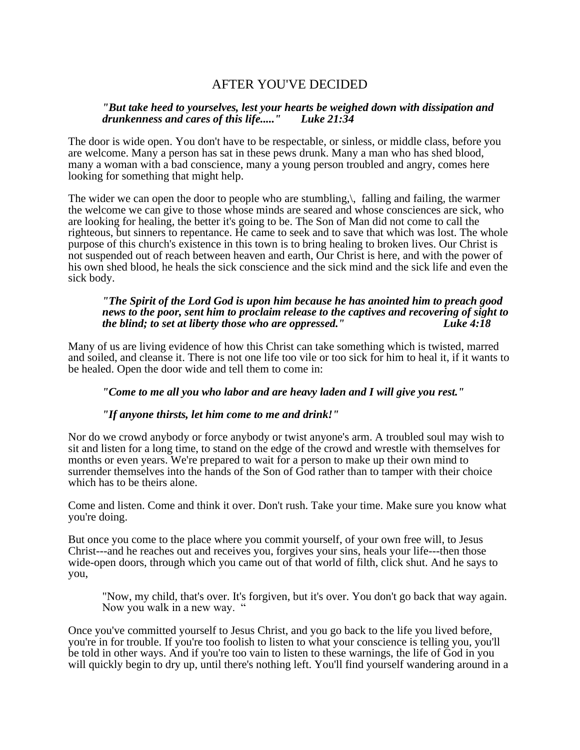# AFTER YOU'VE DECIDED

## *"But take heed to yourselves, lest your hearts be weighed down with dissipation and drunkenness and cares of this life....." Luke 21:34*

The door is wide open. You don't have to be respectable, or sinless, or middle class, before you are welcome. Many a person has sat in these pews drunk. Many a man who has shed blood, many a woman with a bad conscience, many a young person troubled and angry, comes here looking for something that might help.

The wider we can open the door to people who are stumbling,\, falling and failing, the warmer the welcome we can give to those whose minds are seared and whose consciences are sick, who are looking for healing, the better it's going to be. The Son of Man did not come to call the righteous, but sinners to repentance. He came to seek and to save that which was lost. The whole purpose of this church's existence in this town is to bring healing to broken lives. Our Christ is not suspended out of reach between heaven and earth, Our Christ is here, and with the power of his own shed blood, he heals the sick conscience and the sick mind and the sick life and even the sick body.

## *"The Spirit of the Lord God is upon him because he has anointed him to preach good news to the poor, sent him to proclaim release to the captives and recovering of sight to the blind; to set at liberty those who are oppressed." Luke 4:18*

Many of us are living evidence of how this Christ can take something which is twisted, marred and soiled, and cleanse it. There is not one life too vile or too sick for him to heal it, if it wants to be healed. Open the door wide and tell them to come in:

# *"Come to me all you who labor and are heavy laden and I will give you rest."*

## *"If anyone thirsts, let him come to me and drink!"*

Nor do we crowd anybody or force anybody or twist anyone's arm. A troubled soul may wish to sit and listen for a long time, to stand on the edge of the crowd and wrestle with themselves for months or even years. We're prepared to wait for a person to make up their own mind to surrender themselves into the hands of the Son of God rather than to tamper with their choice which has to be theirs alone.

Come and listen. Come and think it over. Don't rush. Take your time. Make sure you know what you're doing.

But once you come to the place where you commit yourself, of your own free will, to Jesus Christ---and he reaches out and receives you, forgives your sins, heals your life---then those wide-open doors, through which you came out of that world of filth, click shut. And he says to you,

"Now, my child, that's over. It's forgiven, but it's over. You don't go back that way again. Now you walk in a new way. "

Once you've committed yourself to Jesus Christ, and you go back to the life you lived before, you're in for trouble. If you're too foolish to listen to what your conscience is telling you, you'll be told in other ways. And if you're too vain to listen to these warnings, the life of God in you will quickly begin to dry up, until there's nothing left. You'll find yourself wandering around in a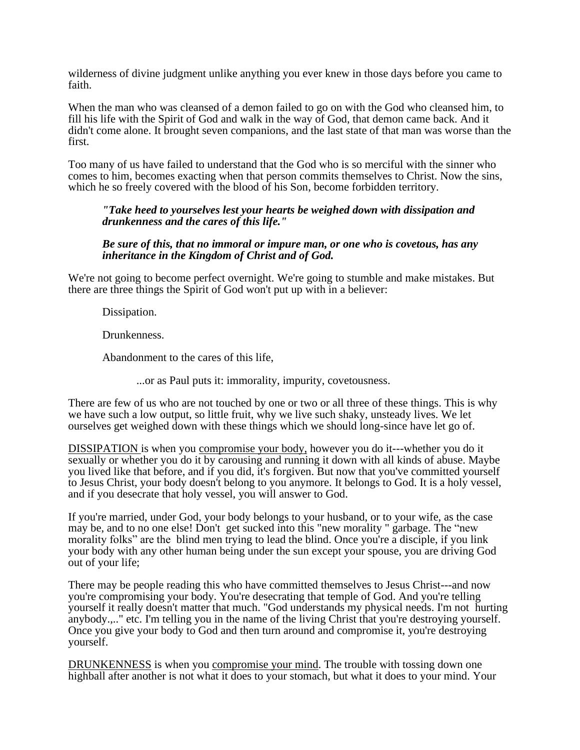wilderness of divine judgment unlike anything you ever knew in those days before you came to faith.

When the man who was cleansed of a demon failed to go on with the God who cleansed him, to fill his life with the Spirit of God and walk in the way of God, that demon came back. And it didn't come alone. It brought seven companions, and the last state of that man was worse than the first.

Too many of us have failed to understand that the God who is so merciful with the sinner who comes to him, becomes exacting when that person commits themselves to Christ. Now the sins, which he so freely covered with the blood of his Son, become forbidden territory.

## *"Take heed to yourselves lest your hearts be weighed down with dissipation and drunkenness and the cares of this life."*

## *Be sure of this, that no immoral or impure man, or one who is covetous, has any inheritance in the Kingdom of Christ and of God.*

We're not going to become perfect overnight. We're going to stumble and make mistakes. But there are three things the Spirit of God won't put up with in a believer:

Dissipation.

Drunkenness.

Abandonment to the cares of this life,

...or as Paul puts it: immorality, impurity, covetousness.

There are few of us who are not touched by one or two or all three of these things. This is why we have such a low output, so little fruit, why we live such shaky, unsteady lives. We let ourselves get weighed down with these things which we should long-since have let go of.

DISSIPATION is when you compromise your body, however you do it---whether you do it sexually or whether you do it by carousing and running it down with all kinds of abuse. Maybe you lived like that before, and if you did, it's forgiven. But now that you've committed yourself to Jesus Christ, your body doesn't belong to you anymore. It belongs to God. It is a holy vessel, and if you desecrate that holy vessel, you will answer to God.

If you're married, under God, your body belongs to your husband, or to your wife, as the case may be, and to no one else! Don't get sucked into this "new morality " garbage. The "new morality folks" are the blind men trying to lead the blind. Once you're a disciple, if you link your body with any other human being under the sun except your spouse, you are driving God out of your life;

There may be people reading this who have committed themselves to Jesus Christ---and now you're compromising your body. You're desecrating that temple of God. And you're telling yourself it really doesn't matter that much. "God understands my physical needs. I'm not hurting anybody.,.." etc. I'm telling you in the name of the living Christ that you're destroying yourself. Once you give your body to God and then turn around and compromise it, you're destroying yourself.

DRUNKENNESS is when you compromise your mind. The trouble with tossing down one highball after another is not what it does to your stomach, but what it does to your mind. Your